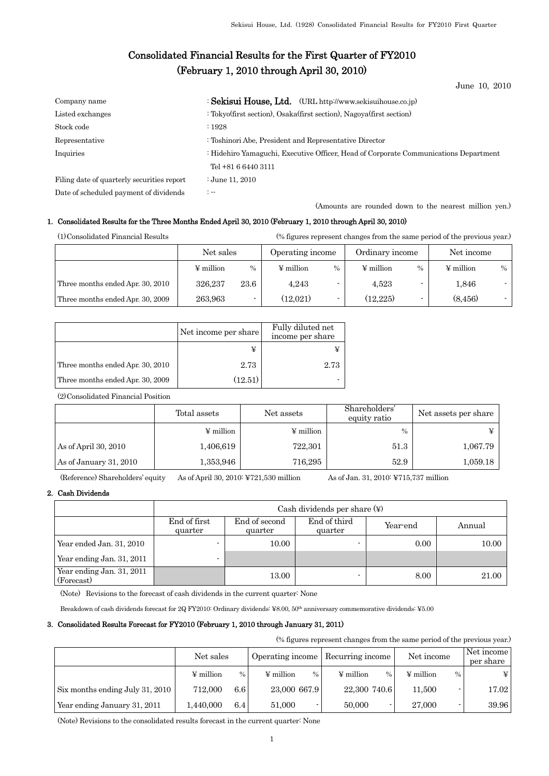# Consolidated Financial Results for the First Quarter of FY2010 (February 1, 2010 through April 30, 2010)

June 10, 2010

| Company name                               | : Sekisui House, Ltd. (URL http://www.sekisuihouse.co.jp)                            |
|--------------------------------------------|--------------------------------------------------------------------------------------|
| Listed exchanges                           | : Tokyo(first section), Osaka(first section), Nagoya(first section)                  |
| Stock code                                 | :1928                                                                                |
| Representative                             | : Toshinori Abe, President and Representative Director                               |
| Inquiries                                  | : Hidehiro Yamaguchi, Executive Officer, Head of Corporate Communications Department |
|                                            | Tel +81 6 6440 3111                                                                  |
| Filing date of quarterly securities report | : June 11, 2010                                                                      |
| Date of scheduled payment of dividends     | $\mathbb{Z}$                                                                         |

(Amounts are rounded down to the nearest million yen.)

## 1. Consolidated Results for the Three Months Ended April 30, 2010 (February 1, 2010 through April 30, 2010)

|  | (1) Consolidated Financial Results |                |      |                  | (% figures represent changes from the same period of the previous year.) |                 |      |                |      |
|--|------------------------------------|----------------|------|------------------|--------------------------------------------------------------------------|-----------------|------|----------------|------|
|  |                                    | Net sales      |      | Operating income |                                                                          | Ordinary income |      | Net income     |      |
|  |                                    | $\Psi$ million | $\%$ | $\Psi$ million   | $\%$                                                                     | $\Psi$ million  | $\%$ | $\Psi$ million | $\%$ |
|  | Three months ended Apr. 30, 2010   | 326.237        | 23.6 | 4,243            |                                                                          | 4.523           |      | 1,846          |      |
|  | Three months ended Apr. 30, 2009   | 263.963        |      | (12.021)         |                                                                          | (12.225)        | -    | (8, 456)       |      |

|                                  | Net income per share | Fully diluted net<br>income per share |
|----------------------------------|----------------------|---------------------------------------|
|                                  |                      |                                       |
| Three months ended Apr. 30, 2010 | 2.73                 | 2.73                                  |
| Three months ended Apr. 30, 2009 | (12.51)              |                                       |

(2)Consolidated Financial Position

|                        | Total assets          | Net assets            | Shareholders'<br>equity ratio | Net assets per share |
|------------------------|-----------------------|-----------------------|-------------------------------|----------------------|
|                        | $\frac{1}{2}$ million | $\frac{1}{2}$ million | $\frac{0}{0}$                 | ¥                    |
| As of April 30, 2010   | 1,406,619             | 722,301               | 51.3                          | 1,067.79             |
| As of January 31, 2010 | 1,353,946             | 716,295               | 52.9                          | 1,059.18             |

(Reference) Shareholders' equity As of April 30, 2010: ¥721,530 million As of Jan. 31, 2010: ¥715,737 million

## 2. Cash Dividends

|                                         |                         | Cash dividends per share $(\nabla)$ |                         |          |        |  |  |  |  |  |
|-----------------------------------------|-------------------------|-------------------------------------|-------------------------|----------|--------|--|--|--|--|--|
|                                         | End of first<br>quarter | End of second<br>quarter            | End of third<br>quarter | Year-end | Annual |  |  |  |  |  |
| Year ended Jan. 31, 2010                |                         | 10.00                               |                         | 0.00     | 10.00  |  |  |  |  |  |
| Year ending Jan. 31, 2011               |                         |                                     |                         |          |        |  |  |  |  |  |
| Year ending Jan. 31, 2011<br>(Forecast) |                         | 13.00                               |                         | 8.00     | 21.00  |  |  |  |  |  |

(Note) Revisions to the forecast of cash dividends in the current quarter: None

Breakdown of cash dividends forecast for 2Q FY2010: Ordinary dividends: ¥8.00, 50<sup>th</sup> anniversary commemorative dividends: ¥5.00

## 3. Consolidated Results Forecast for FY2010 (February 1, 2010 through January 31, 2011)

(% figures represent changes from the same period of the previous year.)

|                                 | Net sales      |      | Operating income       | Recurring income                | Net income             | Net income<br>per share |
|---------------------------------|----------------|------|------------------------|---------------------------------|------------------------|-------------------------|
|                                 | $\Psi$ million | $\%$ | $\Psi$ million<br>$\%$ | $\Psi$ million<br>$\frac{0}{0}$ | $\Psi$ million<br>$\%$ | ¥                       |
| Six months ending July 31, 2010 | 712,000        | 6.6  | 23,000 667.9           | 22,300 740.6                    | 11,500                 | 17.02                   |
| Year ending January 31, 2011    | 1.440.000      | 6.4  | 51,000                 | 50,000                          | 27,000                 | 39.96                   |

(Note) Revisions to the consolidated results forecast in the current quarter: None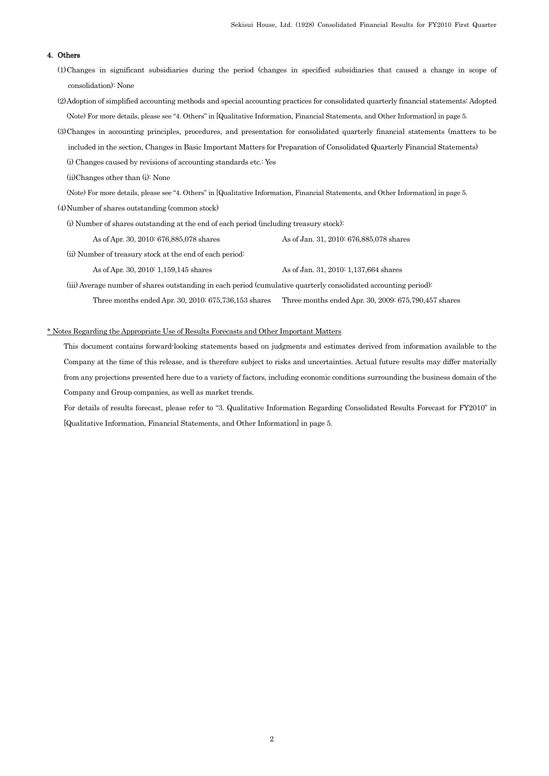## 4. Others

(1)Changes in significant subsidiaries during the period (changes in specified subsidiaries that caused a change in scope of consolidation): None

(2)Adoption of simplified accounting methods and special accounting practices for consolidated quarterly financial statements: Adopted (Note) For more details, please see "4. Others" in [Qualitative Information, Financial Statements, and Other Information] in page 5.

(3)Changes in accounting principles, procedures, and presentation for consolidated quarterly financial statements (matters to be included in the section, Changes in Basic Important Matters for Preparation of Consolidated Quarterly Financial Statements)

(i) Changes caused by revisions of accounting standards etc.: Yes

(ii)Changes other than (i): None

(Note) For more details, please see "4. Others" in [Qualitative Information, Financial Statements, and Other Information] in page 5.

(4)Number of shares outstanding (common stock)

(i) Number of shares outstanding at the end of each period (including treasury stock):

As of Apr. 30, 2010: 676,885,078 shares As of Jan. 31, 2010: 676,885,078 shares

(ii) Number of treasury stock at the end of each period:

As of Apr. 30, 2010: 1,159,145 shares As of Jan. 31, 2010: 1,137,664 shares

 (iii) Average number of shares outstanding in each period (cumulative quarterly consolidated accounting period): Three months ended Apr. 30, 2010: 675,736,153 shares Three months ended Apr. 30, 2009: 675,790,457 shares

#### \* Notes Regarding the Appropriate Use of Results Forecasts and Other Important Matters

This document contains forward-looking statements based on judgments and estimates derived from information available to the Company at the time of this release, and is therefore subject to risks and uncertainties. Actual future results may differ materially from any projections presented here due to a variety of factors, including economic conditions surrounding the business domain of the Company and Group companies, as well as market trends.

For details of results forecast, please refer to "3. Qualitative Information Regarding Consolidated Results Forecast for FY2010" in [Qualitative Information, Financial Statements, and Other Information] in page 5.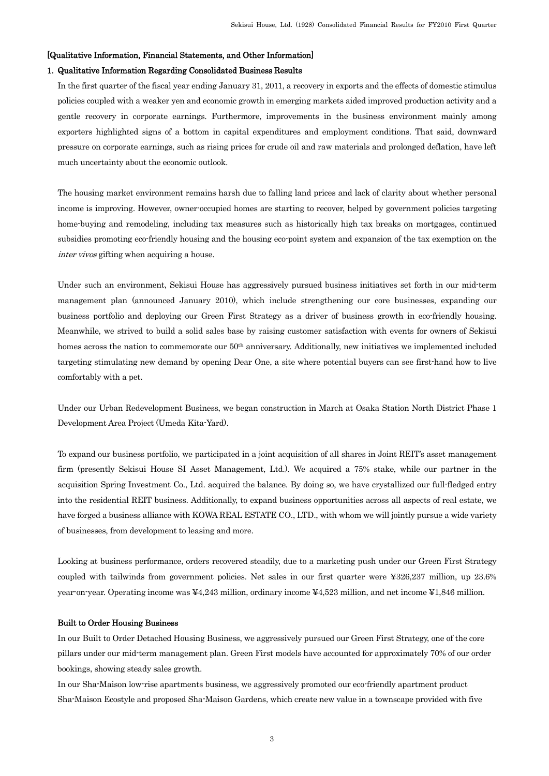#### [Qualitative Information, Financial Statements, and Other Information]

## 1. Qualitative Information Regarding Consolidated Business Results

In the first quarter of the fiscal year ending January 31, 2011, a recovery in exports and the effects of domestic stimulus policies coupled with a weaker yen and economic growth in emerging markets aided improved production activity and a gentle recovery in corporate earnings. Furthermore, improvements in the business environment mainly among exporters highlighted signs of a bottom in capital expenditures and employment conditions. That said, downward pressure on corporate earnings, such as rising prices for crude oil and raw materials and prolonged deflation, have left much uncertainty about the economic outlook.

The housing market environment remains harsh due to falling land prices and lack of clarity about whether personal income is improving. However, owner-occupied homes are starting to recover, helped by government policies targeting home-buying and remodeling, including tax measures such as historically high tax breaks on mortgages, continued subsidies promoting eco-friendly housing and the housing eco-point system and expansion of the tax exemption on the inter vivos gifting when acquiring a house.

Under such an environment, Sekisui House has aggressively pursued business initiatives set forth in our mid-term management plan (announced January 2010), which include strengthening our core businesses, expanding our business portfolio and deploying our Green First Strategy as a driver of business growth in eco-friendly housing. Meanwhile, we strived to build a solid sales base by raising customer satisfaction with events for owners of Sekisui homes across the nation to commemorate our 50<sup>th</sup> anniversary. Additionally, new initiatives we implemented included targeting stimulating new demand by opening Dear One, a site where potential buyers can see first-hand how to live comfortably with a pet.

Under our Urban Redevelopment Business, we began construction in March at Osaka Station North District Phase 1 Development Area Project (Umeda Kita-Yard).

To expand our business portfolio, we participated in a joint acquisition of all shares in Joint REIT's asset management firm (presently Sekisui House SI Asset Management, Ltd.). We acquired a 75% stake, while our partner in the acquisition Spring Investment Co., Ltd. acquired the balance. By doing so, we have crystallized our full-fledged entry into the residential REIT business. Additionally, to expand business opportunities across all aspects of real estate, we have forged a business alliance with KOWA REAL ESTATE CO., LTD., with whom we will jointly pursue a wide variety of businesses, from development to leasing and more.

Looking at business performance, orders recovered steadily, due to a marketing push under our Green First Strategy coupled with tailwinds from government policies. Net sales in our first quarter were ¥326,237 million, up 23.6% year-on-year. Operating income was ¥4,243 million, ordinary income ¥4,523 million, and net income ¥1,846 million.

#### Built to Order Housing Business

In our Built to Order Detached Housing Business, we aggressively pursued our Green First Strategy, one of the core pillars under our mid-term management plan. Green First models have accounted for approximately 70% of our order bookings, showing steady sales growth.

In our Sha-Maison low-rise apartments business, we aggressively promoted our eco-friendly apartment product Sha-Maison Ecostyle and proposed Sha-Maison Gardens, which create new value in a townscape provided with five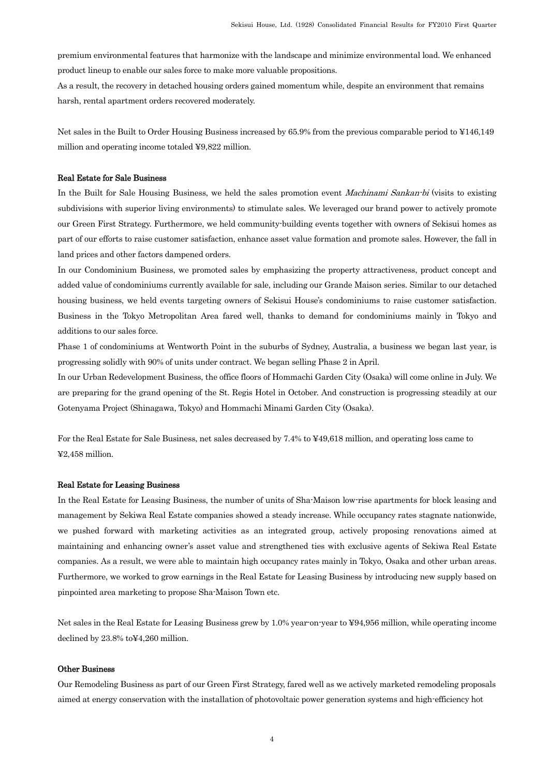premium environmental features that harmonize with the landscape and minimize environmental load. We enhanced product lineup to enable our sales force to make more valuable propositions.

As a result, the recovery in detached housing orders gained momentum while, despite an environment that remains harsh, rental apartment orders recovered moderately.

Net sales in the Built to Order Housing Business increased by 65.9% from the previous comparable period to ¥146,149 million and operating income totaled ¥9,822 million.

#### Real Estate for Sale Business

In the Built for Sale Housing Business, we held the sales promotion event *Machinami Sankan-bi* (visits to existing subdivisions with superior living environments) to stimulate sales. We leveraged our brand power to actively promote our Green First Strategy. Furthermore, we held community-building events together with owners of Sekisui homes as part of our efforts to raise customer satisfaction, enhance asset value formation and promote sales. However, the fall in land prices and other factors dampened orders.

In our Condominium Business, we promoted sales by emphasizing the property attractiveness, product concept and added value of condominiums currently available for sale, including our Grande Maison series. Similar to our detached housing business, we held events targeting owners of Sekisui House's condominiums to raise customer satisfaction. Business in the Tokyo Metropolitan Area fared well, thanks to demand for condominiums mainly in Tokyo and additions to our sales force.

Phase 1 of condominiums at Wentworth Point in the suburbs of Sydney, Australia, a business we began last year, is progressing solidly with 90% of units under contract. We began selling Phase 2 in April.

In our Urban Redevelopment Business, the office floors of Hommachi Garden City (Osaka) will come online in July. We are preparing for the grand opening of the St. Regis Hotel in October. And construction is progressing steadily at our Gotenyama Project (Shinagawa, Tokyo) and Hommachi Minami Garden City (Osaka).

For the Real Estate for Sale Business, net sales decreased by 7.4% to ¥49,618 million, and operating loss came to ¥2,458 million.

#### Real Estate for Leasing Business

In the Real Estate for Leasing Business, the number of units of Sha-Maison low-rise apartments for block leasing and management by Sekiwa Real Estate companies showed a steady increase. While occupancy rates stagnate nationwide, we pushed forward with marketing activities as an integrated group, actively proposing renovations aimed at maintaining and enhancing owner's asset value and strengthened ties with exclusive agents of Sekiwa Real Estate companies. As a result, we were able to maintain high occupancy rates mainly in Tokyo, Osaka and other urban areas. Furthermore, we worked to grow earnings in the Real Estate for Leasing Business by introducing new supply based on pinpointed area marketing to propose Sha-Maison Town etc.

Net sales in the Real Estate for Leasing Business grew by 1.0% year-on-year to ¥94,956 million, while operating income declined by 23.8% to¥4,260 million.

#### Other Business

Our Remodeling Business as part of our Green First Strategy, fared well as we actively marketed remodeling proposals aimed at energy conservation with the installation of photovoltaic power generation systems and high-efficiency hot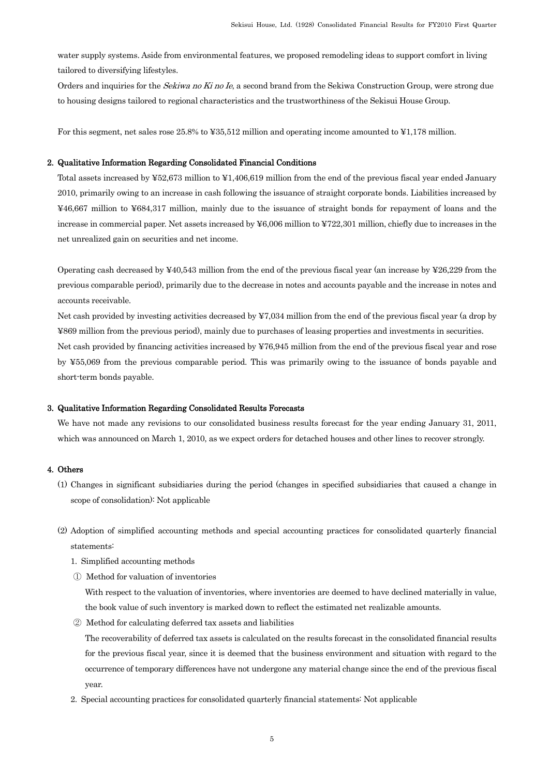water supply systems. Aside from environmental features, we proposed remodeling ideas to support comfort in living tailored to diversifying lifestyles.

Orders and inquiries for the Sekiwa no Ki no Ie, a second brand from the Sekiwa Construction Group, were strong due to housing designs tailored to regional characteristics and the trustworthiness of the Sekisui House Group.

For this segment, net sales rose 25.8% to ¥35,512 million and operating income amounted to ¥1,178 million.

#### 2. Qualitative Information Regarding Consolidated Financial Conditions

Total assets increased by ¥52,673 million to ¥1,406,619 million from the end of the previous fiscal year ended January 2010, primarily owing to an increase in cash following the issuance of straight corporate bonds. Liabilities increased by ¥46,667 million to ¥684,317 million, mainly due to the issuance of straight bonds for repayment of loans and the increase in commercial paper. Net assets increased by ¥6,006 million to ¥722,301 million, chiefly due to increases in the net unrealized gain on securities and net income.

Operating cash decreased by  $\text{\textless}40,543$  million from the end of the previous fiscal year (an increase by  $\text{\textless}26,229$  from the previous comparable period), primarily due to the decrease in notes and accounts payable and the increase in notes and accounts receivable.

Net cash provided by investing activities decreased by ¥7,034 million from the end of the previous fiscal year (a drop by ¥869 million from the previous period), mainly due to purchases of leasing properties and investments in securities.

Net cash provided by financing activities increased by ¥76,945 million from the end of the previous fiscal year and rose by ¥55,069 from the previous comparable period. This was primarily owing to the issuance of bonds payable and short-term bonds payable.

#### 3. Qualitative Information Regarding Consolidated Results Forecasts

We have not made any revisions to our consolidated business results forecast for the year ending January 31, 2011, which was announced on March 1, 2010, as we expect orders for detached houses and other lines to recover strongly.

## 4. Others

- (1) Changes in significant subsidiaries during the period (changes in specified subsidiaries that caused a change in scope of consolidation): Not applicable
- (2) Adoption of simplified accounting methods and special accounting practices for consolidated quarterly financial statements:
	- 1. Simplified accounting methods
	- ① Method for valuation of inventories

With respect to the valuation of inventories, where inventories are deemed to have declined materially in value, the book value of such inventory is marked down to reflect the estimated net realizable amounts.

② Method for calculating deferred tax assets and liabilities

The recoverability of deferred tax assets is calculated on the results forecast in the consolidated financial results for the previous fiscal year, since it is deemed that the business environment and situation with regard to the occurrence of temporary differences have not undergone any material change since the end of the previous fiscal year.

2. Special accounting practices for consolidated quarterly financial statements: Not applicable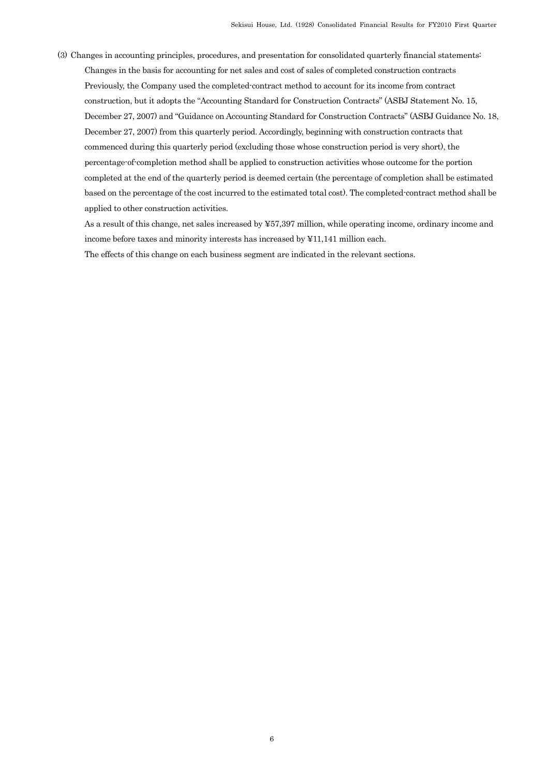(3) Changes in accounting principles, procedures, and presentation for consolidated quarterly financial statements: Changes in the basis for accounting for net sales and cost of sales of completed construction contracts Previously, the Company used the completed-contract method to account for its income from contract construction, but it adopts the "Accounting Standard for Construction Contracts" (ASBJ Statement No. 15, December 27, 2007) and "Guidance on Accounting Standard for Construction Contracts" (ASBJ Guidance No. 18, December 27, 2007) from this quarterly period. Accordingly, beginning with construction contracts that commenced during this quarterly period (excluding those whose construction period is very short), the percentage-of-completion method shall be applied to construction activities whose outcome for the portion completed at the end of the quarterly period is deemed certain (the percentage of completion shall be estimated based on the percentage of the cost incurred to the estimated total cost). The completed-contract method shall be applied to other construction activities.

As a result of this change, net sales increased by ¥57,397 million, while operating income, ordinary income and income before taxes and minority interests has increased by ¥11,141 million each.

The effects of this change on each business segment are indicated in the relevant sections.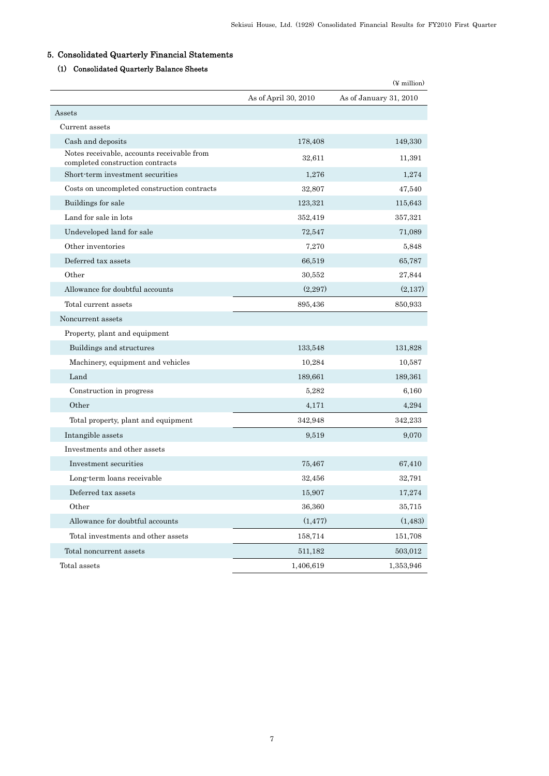## 5. Consolidated Quarterly Financial Statements

## (1) Consolidated Quarterly Balance Sheets

|                                                                                |                      | $(\frac{y}{x})$ million |
|--------------------------------------------------------------------------------|----------------------|-------------------------|
|                                                                                | As of April 30, 2010 | As of January 31, 2010  |
| Assets                                                                         |                      |                         |
| Current assets                                                                 |                      |                         |
| Cash and deposits                                                              | 178,408              | 149,330                 |
| Notes receivable, accounts receivable from<br>completed construction contracts | 32,611               | 11,391                  |
| Short-term investment securities                                               | 1,276                | 1.274                   |
| Costs on uncompleted construction contracts                                    | 32,807               | 47,540                  |
| Buildings for sale                                                             | 123,321              | 115,643                 |
| Land for sale in lots                                                          | 352,419              | 357,321                 |
| Undeveloped land for sale                                                      | 72,547               | 71,089                  |
| Other inventories                                                              | 7,270                | 5.848                   |
| Deferred tax assets                                                            | 66,519               | 65,787                  |
| Other                                                                          | 30,552               | 27.844                  |
| Allowance for doubtful accounts                                                | (2,297)              | (2,137)                 |
| Total current assets                                                           | 895,436              | 850,933                 |
| Noncurrent assets                                                              |                      |                         |
| Property, plant and equipment                                                  |                      |                         |
| Buildings and structures                                                       | 133,548              | 131,828                 |
| Machinery, equipment and vehicles                                              | 10,284               | 10,587                  |
| Land                                                                           | 189,661              | 189,361                 |
| Construction in progress                                                       | 5,282                | 6,160                   |
| Other                                                                          | 4,171                | 4,294                   |
| Total property, plant and equipment                                            | 342,948              | 342,233                 |
| Intangible assets                                                              | 9,519                | 9,070                   |
| Investments and other assets                                                   |                      |                         |
| Investment securities                                                          | 75,467               | 67,410                  |
| Long term loans receivable                                                     | 32,456               | 32,791                  |
| $\operatorname{Deferred}$ tax assets                                           | 15,907               | 17,274                  |
| Other                                                                          | 36,360               | 35,715                  |
| Allowance for doubtful accounts                                                | (1, 477)             | (1, 483)                |
| Total investments and other assets                                             | 158,714              | 151,708                 |
| Total noncurrent assets                                                        | 511,182              | 503,012                 |
| Total assets                                                                   | 1,406,619            | 1,353,946               |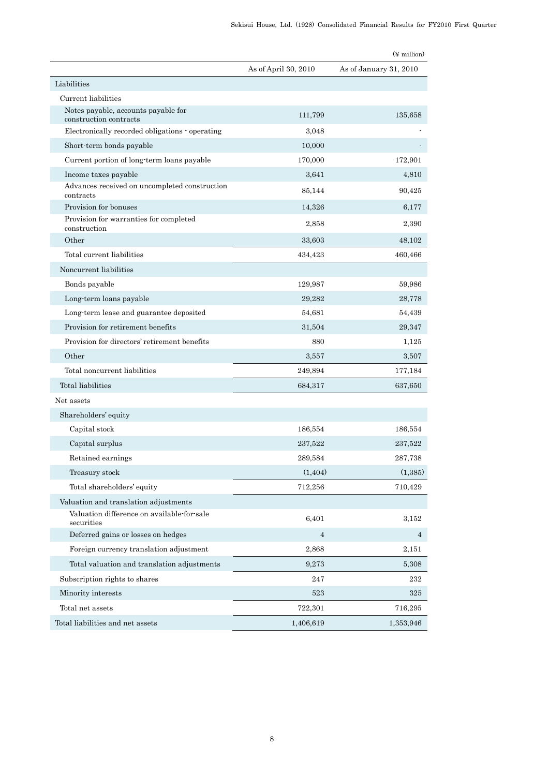|                                                               |                      | $(\frac{y}{x})$ million |
|---------------------------------------------------------------|----------------------|-------------------------|
|                                                               | As of April 30, 2010 | As of January 31, 2010  |
| Liabilities                                                   |                      |                         |
| Current liabilities                                           |                      |                         |
| Notes payable, accounts payable for<br>construction contracts | 111,799              | 135,658                 |
| Electronically recorded obligations - operating               | 3,048                |                         |
| Short-term bonds payable                                      | 10,000               |                         |
| Current portion of long-term loans payable                    | 170,000              | 172,901                 |
| Income taxes payable                                          | 3,641                | 4,810                   |
| Advances received on uncompleted construction<br>contracts    | 85,144               | 90,425                  |
| Provision for bonuses                                         | 14,326               | 6,177                   |
| Provision for warranties for completed<br>construction        | 2,858                | 2,390                   |
| Other                                                         | 33,603               | 48,102                  |
| Total current liabilities                                     | 434,423              | 460,466                 |
| Noncurrent liabilities                                        |                      |                         |
| Bonds payable                                                 | 129,987              | 59,986                  |
| Long-term loans payable                                       | 29,282               | 28,778                  |
| Long-term lease and guarantee deposited                       | 54,681               | 54,439                  |
| Provision for retirement benefits                             | 31,504               | 29,347                  |
| Provision for directors' retirement benefits                  | 880                  | 1,125                   |
| Other                                                         | 3,557                | 3,507                   |
| Total noncurrent liabilities                                  | 249,894              | 177,184                 |
| Total liabilities                                             | 684,317              | 637,650                 |
| Net assets                                                    |                      |                         |
| Shareholders' equity                                          |                      |                         |
| Capital stock                                                 | 186,554              | 186,554                 |
| Capital surplus                                               | 237,522              | 237,522                 |
| Retained earnings                                             | 289,584              | 287,738                 |
| Treasury stock                                                | (1, 404)             | (1, 385)                |
| Total shareholders' equity                                    | 712,256              | 710,429                 |
| Valuation and translation adjustments                         |                      |                         |
| Valuation difference on available-for-sale<br>securities      | 6,401                | 3,152                   |
| Deferred gains or losses on hedges                            | $\overline{4}$       | 4                       |
| Foreign currency translation adjustment                       | 2,868                | 2,151                   |
| Total valuation and translation adjustments                   | 9,273                | 5,308                   |
| Subscription rights to shares                                 | 247                  | 232                     |
| Minority interests                                            | 523                  | 325                     |
| Total net assets                                              | 722,301              | 716,295                 |
| Total liabilities and net assets                              | 1,406,619            | 1,353,946               |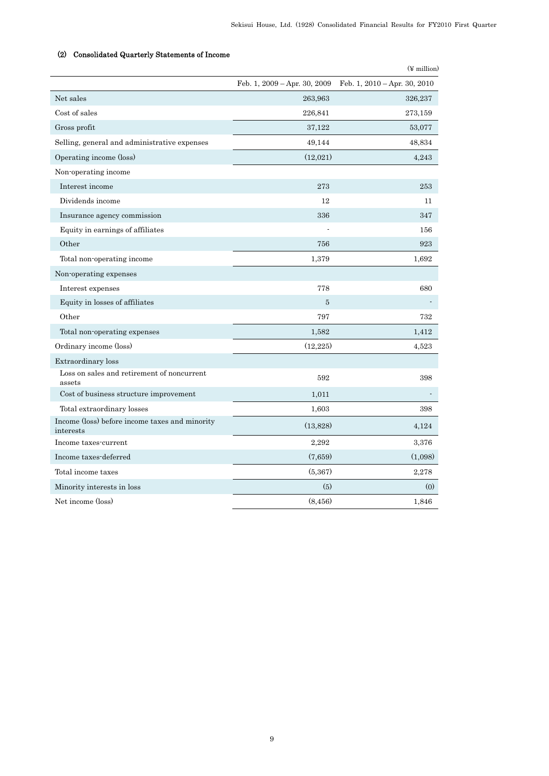|                                                             |                              | $(\frac{y}{x})$ million      |
|-------------------------------------------------------------|------------------------------|------------------------------|
|                                                             | Feb. 1, 2009 - Apr. 30, 2009 | Feb. 1, 2010 - Apr. 30, 2010 |
| Net sales                                                   | 263,963                      | 326,237                      |
| Cost of sales                                               | 226,841                      | 273,159                      |
| Gross profit                                                | 37,122                       | 53,077                       |
| Selling, general and administrative expenses                | 49,144                       | 48,834                       |
| Operating income (loss)                                     | (12,021)                     | 4,243                        |
| Non-operating income                                        |                              |                              |
| Interest income                                             | 273                          | 253                          |
| Dividends income                                            | 12                           | 11                           |
| Insurance agency commission                                 | 336                          | 347                          |
| Equity in earnings of affiliates                            |                              | 156                          |
| Other                                                       | 756                          | 923                          |
| Total non-operating income                                  | 1,379                        | 1,692                        |
| Non-operating expenses                                      |                              |                              |
| Interest expenses                                           | 778                          | 680                          |
| Equity in losses of affiliates                              | $\overline{5}$               |                              |
| Other                                                       | 797                          | 732                          |
| Total non-operating expenses                                | 1,582                        | 1,412                        |
| Ordinary income (loss)                                      | (12, 225)                    | 4,523                        |
| Extraordinary loss                                          |                              |                              |
| Loss on sales and retirement of noncurrent<br>assets        | 592                          | 398                          |
| Cost of business structure improvement                      | 1,011                        |                              |
| Total extraordinary losses                                  | 1,603                        | 398                          |
| Income (loss) before income taxes and minority<br>interests | (13,828)                     | 4,124                        |
| Income taxes-current                                        | 2,292                        | 3,376                        |
| Income taxes-deferred                                       | (7,659)                      | (1,098)                      |
| Total income taxes                                          | (5,367)                      | 2,278                        |
| Minority interests in loss                                  | (5)                          | (0)                          |
| Net income (loss)                                           | (8, 456)                     | 1,846                        |

## (2) Consolidated Quarterly Statements of Income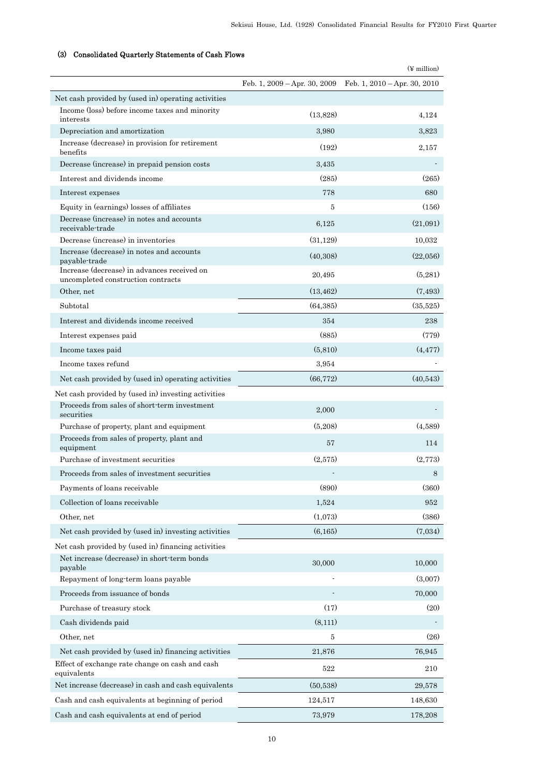## (3) Consolidated Quarterly Statements of Cash Flows

|                                                                                   |           | $(\frac{1}{2}$ million)                                           |
|-----------------------------------------------------------------------------------|-----------|-------------------------------------------------------------------|
|                                                                                   |           | Feb. 1, $2009 - Apr.$ 30, $2009$ Feb. 1, $2010 - Apr.$ 30, $2010$ |
| Net cash provided by (used in) operating activities                               |           |                                                                   |
| Income (loss) before income taxes and minority<br>interests                       | (13,828)  | 4,124                                                             |
| Depreciation and amortization                                                     | 3,980     | 3,823                                                             |
| Increase (decrease) in provision for retirement<br>benefits                       | (192)     | 2,157                                                             |
| Decrease (increase) in prepaid pension costs                                      | 3,435     |                                                                   |
| Interest and dividends income                                                     | (285)     | (265)                                                             |
| Interest expenses                                                                 | 778       | 680                                                               |
| Equity in (earnings) losses of affiliates                                         | 5         | (156)                                                             |
| Decrease (increase) in notes and accounts<br>receivable trade                     | 6,125     | (21,091)                                                          |
| Decrease (increase) in inventories                                                | (31, 129) | 10,032                                                            |
| Increase (decrease) in notes and accounts<br>payable-trade                        | (40,308)  | (22,056)                                                          |
| Increase (decrease) in advances received on<br>uncompleted construction contracts | 20,495    | (5,281)                                                           |
| Other, net                                                                        | (13, 462) | (7,493)                                                           |
| Subtotal                                                                          | (64, 385) | (35,525)                                                          |
| Interest and dividends income received                                            | 354       | 238                                                               |
| Interest expenses paid                                                            | (885)     | (779)                                                             |
| Income taxes paid                                                                 | (5,810)   | (4, 477)                                                          |
| Income taxes refund                                                               | 3,954     |                                                                   |
| Net cash provided by (used in) operating activities                               | (66, 772) | (40,543)                                                          |
| Net cash provided by (used in) investing activities                               |           |                                                                   |
| Proceeds from sales of short-term investment<br>securities                        | 2,000     |                                                                   |
| Purchase of property, plant and equipment                                         | (5,208)   | (4,589)                                                           |
| Proceeds from sales of property, plant and<br>equipment                           | 57        | 114                                                               |
| Purchase of investment securities                                                 | (2,575)   | (2,773)                                                           |
| Proceeds from sales of investment securities                                      |           | 8                                                                 |
| Payments of loans receivable                                                      | (890)     | (360)                                                             |
| Collection of loans receivable                                                    | 1,524     | 952                                                               |
| Other, net                                                                        | (1,073)   | (386)                                                             |
| Net cash provided by (used in) investing activities                               | (6,165)   | (7,034)                                                           |
| Net cash provided by (used in) financing activities                               |           |                                                                   |
| Net increase (decrease) in short-term bonds<br>payable                            | 30,000    | 10,000                                                            |
| Repayment of long-term loans payable                                              |           | (3,007)                                                           |
| Proceeds from issuance of bonds                                                   |           | 70,000                                                            |
| Purchase of treasury stock                                                        | (17)      | (20)                                                              |
| Cash dividends paid                                                               | (8, 111)  |                                                                   |
| Other, net                                                                        | 5         | (26)                                                              |
| Net cash provided by (used in) financing activities                               | 21,876    | 76,945                                                            |
| Effect of exchange rate change on cash and cash<br>equivalents                    | 522       | 210                                                               |
| Net increase (decrease) in cash and cash equivalents                              | (50, 538) | 29,578                                                            |
| Cash and cash equivalents at beginning of period                                  | 124,517   | 148,630                                                           |
| Cash and cash equivalents at end of period                                        | 73,979    | 178,208                                                           |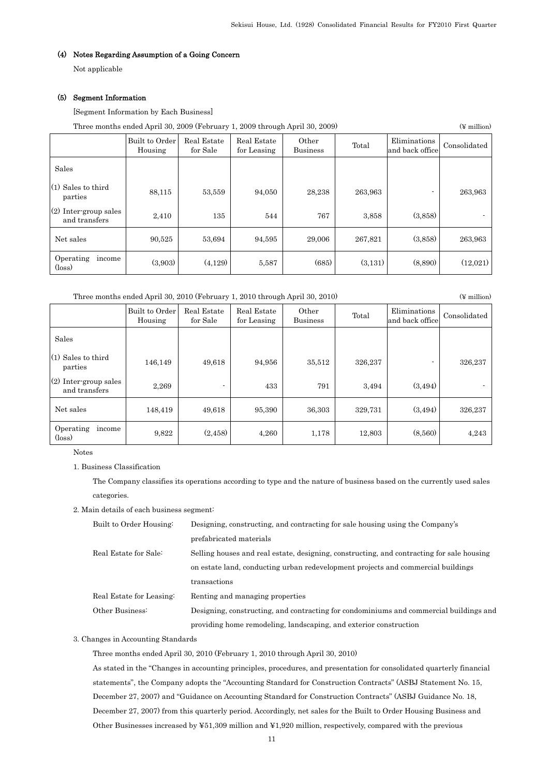## (4) Notes Regarding Assumption of a Going Concern

Not applicable

#### (5) Segment Information

[Segment Information by Each Business]

| Three months ended April 30, 2009 (February 1, 2009 through April 30, 2009) | $(\frac{1}{2}$ million |
|-----------------------------------------------------------------------------|------------------------|
|-----------------------------------------------------------------------------|------------------------|

|                                          | Built to Order<br>Housing | Real Estate<br>for Sale | Real Estate<br>for Leasing | Other<br><b>Business</b> | Total   | Eliminations<br>and back office | Consolidated |
|------------------------------------------|---------------------------|-------------------------|----------------------------|--------------------------|---------|---------------------------------|--------------|
| Sales                                    |                           |                         |                            |                          |         |                                 |              |
| $(1)$ Sales to third<br>parties          | 88,115                    | 53,559                  | 94.050                     | 28,238                   | 263,963 |                                 | 263,963      |
| $(2)$ Inter-group sales<br>and transfers | 2,410                     | 135                     | 544                        | 767                      | 3,858   | (3,858)                         |              |
| Net sales                                | 90,525                    | 53,694                  | 94,595                     | 29,006                   | 267,821 | (3.858)                         | 263,963      |
| Operating<br>income<br>$(\text{loss})$   | (3,903)                   | (4,129)                 | 5,587                      | (685)                    | (3,131) | (8,890)                         | (12,021)     |

 Three months ended April 30, 2010 (February 1, 2010 through April 30, 2010) (¥ million) Real Estate

for Sale

Other Other Total Eliminations Consolidated<br>
and back office Consolidated

| (1) Sales to third<br>parties            | 146,149 | 49,618   | 94,956 | 35,512 | 326,237 |         | 326,237 |
|------------------------------------------|---------|----------|--------|--------|---------|---------|---------|
| $(2)$ Inter-group sales<br>and transfers | 2,269   |          | 433    | 791    | 3,494   | (3,494) |         |
| Net sales                                | 148,419 | 49,618   | 95,390 | 36,303 | 329,731 | (3,494) | 326,237 |
| Operating<br>income<br>$(\text{loss})$   | 9,822   | (2, 458) | 4,260  | 1,178  | 12,803  | (8,560) | 4,243   |

Real Estate for Leasing

Notes

Sales

1. Business Classification

The Company classifies its operations according to type and the nature of business based on the currently used sales categories.

2. Main details of each business segment:

Built to Order Housing

| Built to Order Housing:  | Designing, constructing, and contracting for sale housing using the Company's             |  |  |  |  |
|--------------------------|-------------------------------------------------------------------------------------------|--|--|--|--|
|                          | prefabricated materials                                                                   |  |  |  |  |
| Real Estate for Sale:    | Selling houses and real estate, designing, constructing, and contracting for sale housing |  |  |  |  |
|                          | on estate land, conducting urban redevelopment projects and commercial buildings          |  |  |  |  |
|                          | transactions                                                                              |  |  |  |  |
| Real Estate for Leasing: | Renting and managing properties                                                           |  |  |  |  |
| Other Business:          | Designing, constructing, and contracting for condominiums and commercial buildings and    |  |  |  |  |
|                          | providing home remodeling, landscaping, and exterior construction                         |  |  |  |  |

3. Changes in Accounting Standards

Three months ended April 30, 2010 (February 1, 2010 through April 30, 2010)

As stated in the "Changes in accounting principles, procedures, and presentation for consolidated quarterly financial statements", the Company adopts the "Accounting Standard for Construction Contracts" (ASBJ Statement No. 15, December 27, 2007) and "Guidance on Accounting Standard for Construction Contracts" (ASBJ Guidance No. 18, December 27, 2007) from this quarterly period. Accordingly, net sales for the Built to Order Housing Business and Other Businesses increased by ¥51,309 million and ¥1,920 million, respectively, compared with the previous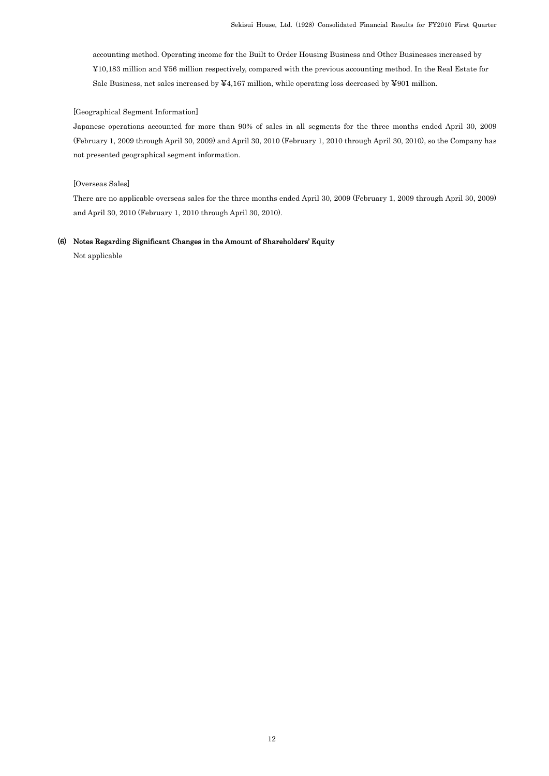accounting method. Operating income for the Built to Order Housing Business and Other Businesses increased by ¥10,183 million and ¥56 million respectively, compared with the previous accounting method. In the Real Estate for Sale Business, net sales increased by ¥4,167 million, while operating loss decreased by ¥901 million.

#### [Geographical Segment Information]

Japanese operations accounted for more than 90% of sales in all segments for the three months ended April 30, 2009 (February 1, 2009 through April 30, 2009) and April 30, 2010 (February 1, 2010 through April 30, 2010), so the Company has not presented geographical segment information.

#### [Overseas Sales]

There are no applicable overseas sales for the three months ended April 30, 2009 (February 1, 2009 through April 30, 2009) and April 30, 2010 (February 1, 2010 through April 30, 2010).

### (6) Notes Regarding Significant Changes in the Amount of Shareholders' Equity

Not applicable